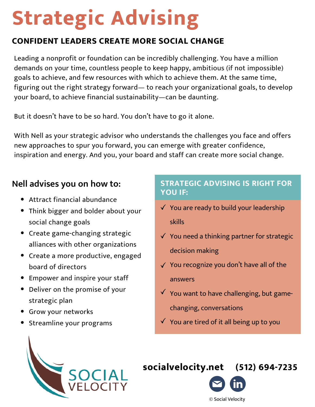# **Strategic Advising**

# **CONFIDENT LEADERS CREATE MORE SOCIAL CHANGE**

Leading a nonprofit or foundation can be incredibly challenging. You have a million demands on your time, countless people to keep happy, ambitious (if not impossible) goals to achieve, and few resources with which to achieve them. At the same time, figuring out the right strategy forward— to reach your organizational goals, to develop your board, to achieve financial sustainability—can be daunting.

But it doesn't have to be so hard. You don't have to go it alone.

With Nell as your strategic advisor who understands the challenges you face and offers new approaches to spur you forward, you can emerge with greater confidence, inspiration and energy. And you, your board and staff can create more social change.

# **Nell advises you on how to:**

- Attract financial abundance
- Think bigger and bolder about your social change goals
- Create game-changing strategic alliances with other organizations
- Create a more productive, engaged board of directors
- Empower and inspire your staff
- Deliver on the promise of your strategic plan
- Grow your networks
- Streamline your programs

## **STRATEGIC ADVISING IS RIGHT FOR YOU IF:**

- $\checkmark$  You are ready to build your leadership skills
- $\checkmark$  You need a thinking partner for strategic decision making
- $\sqrt{ }$  You recognize you don't have all of the answers
- $\checkmark$  You want to have challenging, but gamechanging, conversations
- $\checkmark$  You are tired of it all being up to you



# **[socialvelocity.net](https://www.socialvelocity.net/) (512) 694-7235**